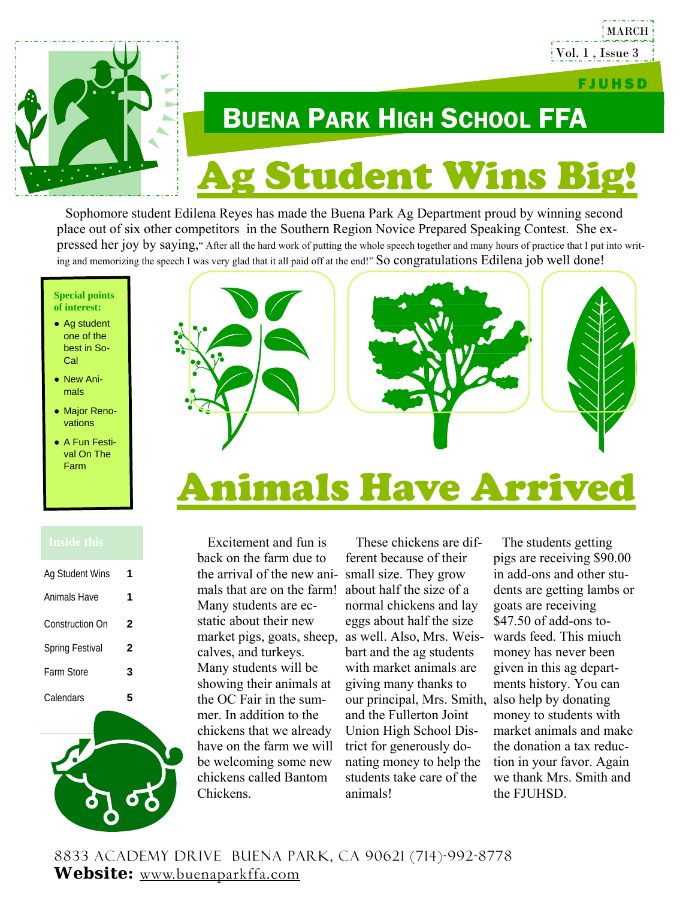

# BUENA PARK HIGH SCHOOL FFA g Student Wins Bi

 Sophomore student Edilena Reyes has made the Buena Park Ag Department proud by winning second place out of six other competitors in the Southern Region Novice Prepared Speaking Contest. She expressed her joy by saying," After all the hard work of putting the whole speech together and many hours of practice that I put into writing and memorizing the speech I was very glad that it all paid off at the end!" So congratulations Edilena job well done!

#### **Special points of interest:**

- Ag student one of the best in So-Cal
- New Animals
- Major Renovations
- A Fun Festival On The Farm



## Animals Have Arrived

| Ag Student Wins        | 1 |
|------------------------|---|
| Animals Have           | 1 |
| <b>Construction On</b> | 2 |
| <b>Spring Festival</b> | 2 |
| Farm Store             | 3 |
| Calendars              |   |



 Excitement and fun is back on the farm due to the arrival of the new ani-small size. They grow mals that are on the farm! about half the size of a Many students are ecstatic about their new market pigs, goats, sheep, as well. Also, Mrs. Weiscalves, and turkeys. Many students will be showing their animals at the OC Fair in the summer. In addition to the chickens that we already have on the farm we will be welcoming some new chickens called Bantom Chickens.

 These chickens are different because of their normal chickens and lay eggs about half the size bart and the ag students with market animals are giving many thanks to our principal, Mrs. Smith, also help by donating and the Fullerton Joint Union High School District for generously donating money to help the students take care of the animals!

 The students getting pigs are receiving \$90.00 in add-ons and other students are getting lambs or goats are receiving \$47.50 of add-ons towards feed. This miuch money has never been given in this ag departments history. You can money to students with market animals and make the donation a tax reduction in your favor. Again we thank Mrs. Smith and the FJUHSD.

FJUHSD

MARCH

Vol. 1 , Issue 3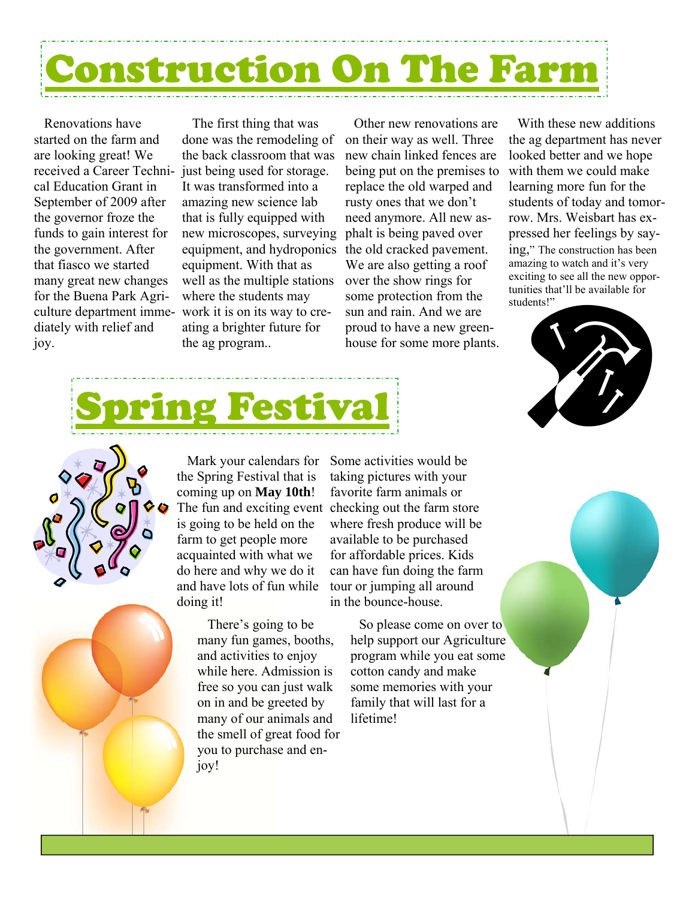# uction On The

 Renovations have started on the farm and are looking great! We cal Education Grant in September of 2009 after the governor froze the funds to gain interest for the government. After that fiasco we started many great new changes for the Buena Park Agriculture department immediately with relief and joy.

received a Career Techni-just being used for storage. The first thing that was done was the remodeling of the back classroom that was It was transformed into a amazing new science lab that is fully equipped with new microscopes, surveying phalt is being paved over equipment, and hydroponics equipment. With that as well as the multiple stations where the students may work it is on its way to creating a brighter future for the ag program..

 Other new renovations are on their way as well. Three new chain linked fences are being put on the premises to replace the old warped and rusty ones that we don't need anymore. All new asthe old cracked pavement. We are also getting a roof over the show rings for some protection from the sun and rain. And we are proud to have a new greenhouse for some more plants.

 With these new additions the ag department has never looked better and we hope with them we could make learning more fun for the students of today and tomorrow. Mrs. Weisbart has expressed her feelings by saying," The construction has been amazing to watch and it's very exciting to see all the new opportunities that'll be available for students!"







 Mark your calendars for the Spring Festival that is coming up on **May 10th**! is going to be held on the farm to get people more acquainted with what we do here and why we do it and have lots of fun while doing it!

> There's going to be many fun games, booths, and activities to enjoy while here. Admission is free so you can just walk on in and be greeted by many of our animals and the smell of great food for you to purchase and enjoy!

The fun and exciting event checking out the farm store Some activities would be taking pictures with your favorite farm animals or where fresh produce will be available to be purchased for affordable prices. Kids can have fun doing the farm tour or jumping all around in the bounce-house.

> So please come on over to help support our Agriculture program while you eat some cotton candy and make some memories with your family that will last for a lifetime!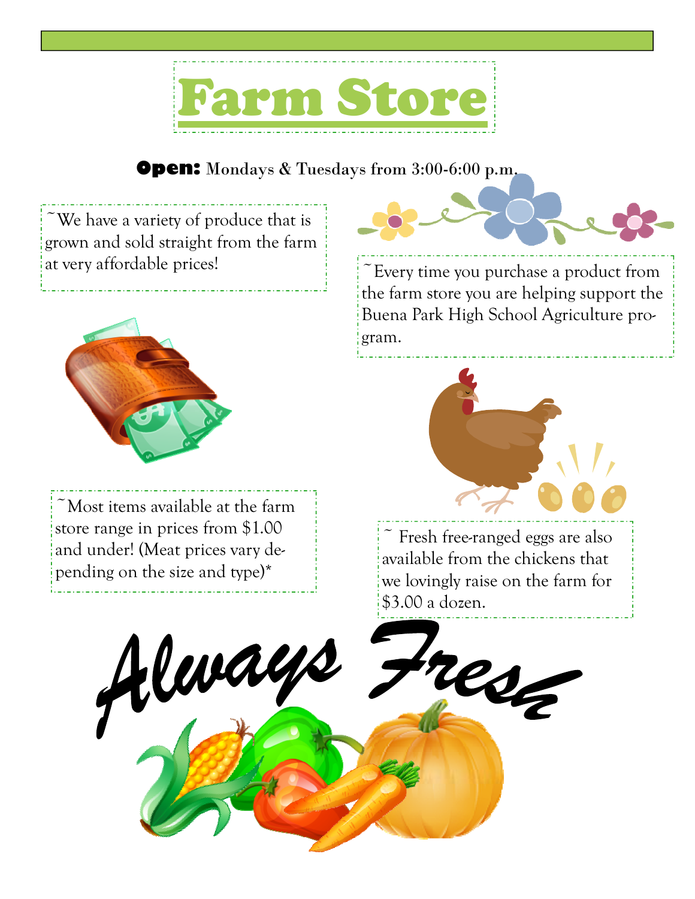

### **Open:** Mondays & Tuesdays from 3:00-6:00 p.m.

 $\tilde{\text{ } }$  We have a variety of produce that is grown and sold straight from the farm



~Most items available at the farm store range in prices from \$1.00 and under! (Meat prices vary depending on the size and type)\*

at very affordable prices!<br>  $\begin{array}{c} \begin{array}{c} \begin{array}{c} \begin{array}{c} \begin{array}{c} \end{array} \\ \end{array} \\ \begin{array}{c} \end{array} \\ \end{array} \\ \begin{array}{c} \end{array} \\ \begin{array}{c} \end{array} \\ \end{array} \\ \begin{array}{c} \end{array} \\ \begin{array}{c} \end{array} \\ \end{array} \\ \begin{array}{c} \end{array} \\ \begin{array}{c} \end{array} \\ \begin{array}{c} \end{array} \\ \begin{array}{c} \end{array} \\ \begin{array}{c} \end{array$ the farm store you are helping support the

Buena Park High School Agriculture program.



 $\tilde{\phantom{a}}$  Fresh free-ranged eggs are also available from the chickens that we lovingly raise on the farm for \$3.00 a dozen.